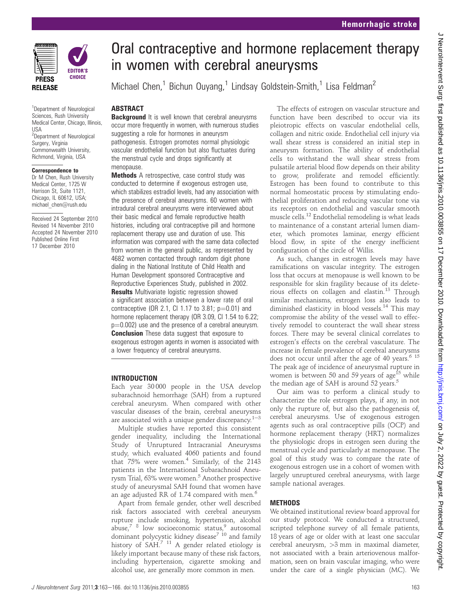

1 Department of Neurological Sciences, Rush University Medical Center, Chicago, Illinois, USA <sup>2</sup>Department of Neurological Surgery, Virginia Commonwealth University, Richmond, Virginia, USA

### Correspondence to

Dr M Chen, Rush University Medical Center, 1725 W Harrison St, Suite 1121, Chicago, IL 60612, USA; michael\_chen@rush.edu

Received 24 September 2010 Revised 14 November 2010 Accepted 24 November 2010 Published Online First 17 December 2010

# Oral contraceptive and hormone replacement therapy in women with cerebral aneurysms

Michael Chen,<sup>1</sup> Bichun Ouyang,<sup>1</sup> Lindsay Goldstein-Smith,<sup>1</sup> Lisa Feldman<sup>2</sup>

## ABSTRACT

**Background** It is well known that cerebral aneurysms occur more frequently in women, with numerous studies suggesting a role for hormones in aneurysm pathogenesis. Estrogen promotes normal physiologic vascular endothelial function but also fluctuates during the menstrual cycle and drops significantly at menopause.

Methods A retrospective, case control study was conducted to determine if exogenous estrogen use, which stabilizes estradiol levels, had any association with the presence of cerebral aneurysms. 60 women with intradural cerebral aneurysms were interviewed about their basic medical and female reproductive health histories, including oral contraceptive pill and hormone replacement therapy use and duration of use. This information was compared with the same data collected from women in the general public, as represented by 4682 women contacted through random digit phone dialing in the National Institute of Child Health and Human Development sponsored Contraceptive and Reproductive Experiences Study, published in 2002. **Results** Multivariate logistic regression showed

a significant association between a lower rate of oral contraceptive (OR 2.1, CI 1.17 to 3.81;  $p=0.01$ ) and hormone replacement therapy (OR 3.09, CI 1.54 to 6.22;  $p=0.002$ ) use and the presence of a cerebral aneurysm. **Conclusion** These data suggest that exposure to exogenous estrogen agents in women is associated with a lower frequency of cerebral aneurysms.

# INTRODUCTION

Each year 30 000 people in the USA develop subarachnoid hemorrhage (SAH) from a ruptured cerebral aneurysm. When compared with other vascular diseases of the brain, cerebral aneurysms are associated with a unique gender discrepancy.<sup>1-3</sup>

Multiple studies have reported this consistent gender inequality, including the International Study of Unruptured Intracranial Aneurysms study, which evaluated 4060 patients and found that  $75\%$  were women.<sup>4</sup> Similarly, of the 2143 patients in the International Subarachnoid Aneurysm Trial, 63% were women.<sup>5</sup> Another prospective study of aneurysmal SAH found that women have an age adjusted RR of 1.74 compared with men.<sup>6</sup>

Apart from female gender, other well described risk factors associated with cerebral aneurysm rupture include smoking, hypertension, alcohol  $abuse,78}$  low socioeconomic status,<sup>9</sup> autosomal dominant polycystic kidney disease<sup>7</sup> <sup>10</sup> and family history of  $SAH^{7}$ <sup>11</sup> A gender related etiology is likely important because many of these risk factors, including hypertension, cigarette smoking and alcohol use, are generally more common in men.

The effects of estrogen on vascular structure and function have been described to occur via its pleiotropic effects on vascular endothelial cells, collagen and nitric oxide. Endothelial cell injury via wall shear stress is considered an initial step in aneurysm formation. The ability of endothelial cells to withstand the wall shear stress from pulsatile arterial blood flow depends on their ability to grow, proliferate and remodel efficiently. Estrogen has been found to contribute to this normal homeostatic process by stimulating endothelial proliferation and reducing vascular tone via its receptors on endothelial and vascular smooth muscle cells.<sup>12</sup> Endothelial remodeling is what leads to maintenance of a constant arterial lumen diameter, which promotes laminar, energy efficient blood flow, in spite of the energy inefficient configuration of the circle of Willis.

As such, changes in estrogen levels may have ramifications on vascular integrity. The estrogen loss that occurs at menopause is well known to be responsible for skin fragility because of its deleterious effects on collagen and elastin.<sup>13</sup> Through similar mechanisms, estrogen loss also leads to diminished elasticity in blood vessels.<sup>14</sup> This may compromise the ability of the vessel wall to effectively remodel to counteract the wall shear stress forces. There may be several clinical correlates to estrogen's effects on the cerebral vasculature. The increase in female prevalence of cerebral aneurysms does not occur until after the age of 40 years. $615$ The peak age of incidence of aneurysmal rupture in women is between 50 and 59 years of age<sup>15</sup> while the median age of SAH is around 52 years.<sup>5</sup>

Our aim was to perform a clinical study to characterize the role estrogen plays, if any, in not only the rupture of, but also the pathogenesis of, cerebral aneurysms. Use of exogenous estrogen agents such as oral contraceptive pills (OCP) and hormone replacement therapy (HRT) normalizes the physiologic drops in estrogen seen during the menstrual cycle and particularly at menopause. The goal of this study was to compare the rate of exogenous estrogen use in a cohort of women with largely unruptured cerebral aneurysms, with large sample national averages.

## METHODS

We obtained institutional review board approval for our study protocol. We conducted a structured, scripted telephone survey of all female patients, 18 years of age or older with at least one saccular cerebral aneurysm, >3 mm in maximal diameter, not associated with a brain arteriovenous malformation, seen on brain vascular imaging, who were under the care of a single physician (MC). We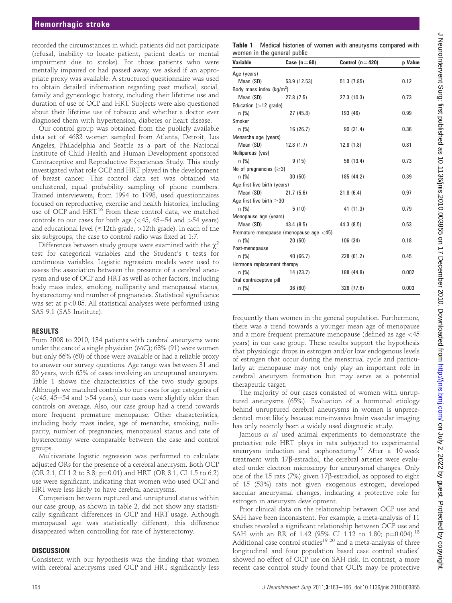recorded the circumstances in which patients did not participate (refusal, inability to locate patient, patient death or mental impairment due to stroke). For those patients who were mentally impaired or had passed away, we asked if an appropriate proxy was available. A structured questionnaire was used to obtain detailed information regarding past medical, social, family and gynecologic history, including their lifetime use and duration of use of OCP and HRT. Subjects were also questioned about their lifetime use of tobacco and whether a doctor ever diagnosed them with hypertension, diabetes or heart disease.

Our control group was obtained from the publicly available data set of 4682 women sampled from Atlanta, Detroit, Los Angeles, Philadelphia and Seattle as a part of the National Institute of Child Health and Human Development sponsored Contraceptive and Reproductive Experiences Study. This study investigated what role OCP and HRT played in the development of breast cancer. This control data set was obtained via unclustered, equal probability sampling of phone numbers. Trained interviewers, from 1994 to 1998, used questionnaires focused on reproductive, exercise and health histories, including use of OCP and HRT.<sup>16</sup> From these control data, we matched controls to our cases for both age  $\left( < 45, 45-54 \text{ and } > 54 \text{ years} \right)$ and educational level  $(\leq 12$ th grade,  $>12$ th grade). In each of the six subgroups, the case to control radio was fixed at 1:7.

Differences between study groups were examined with the  $\chi^2$ test for categorical variables and the Student's t tests for continuous variables. Logistic regression models were used to assess the association between the presence of a cerebral aneurysm and use of OCP and HRT as well as other factors, including body mass index, smoking, nulliparity and menopausal status, hysterectomy and number of pregnancies. Statistical significance was set at p<0.05. All statistical analyses were performed using SAS 9.1 (SAS Institute).

# RESULTS

From 2008 to 2010, 134 patients with cerebral aneurysms were under the care of a single physician (MC); 68% (91) were women but only 66% (60) of those were available or had a reliable proxy to answer our survey questions. Age range was between 31 and 80 years, with 65% of cases involving an unruptured aneurysm. Table 1 shows the characteristics of the two study groups. Although we matched controls to our cases for age categories of  $\approx$  45, 45–54 and  $>$ 54 years), our cases were slightly older than controls on average. Also, our case group had a trend towards more frequent premature menopause. Other characteristics, including body mass index, age of menarche, smoking, nulliparity, number of pregnancies, menopausal status and rate of hysterectomy were comparable between the case and control groups.

Multivariate logistic regression was performed to calculate adjusted ORs for the presence of a cerebral aneurysm. Both OCP (OR 2.1, CI 1.2 to 3.8;  $p=0.01$ ) and HRT (OR 3.1, CI 1.5 to 6.2) use were significant, indicating that women who used OCP and HRT were less likely to have cerebral aneurysms.

Comparison between ruptured and unruptured status within our case group, as shown in table 2, did not show any statistically significant differences in OCP and HRT usage. Although menopausal age was statistically different, this difference disappeared when controlling for rate of hysterectomy.

# **DISCUSSION**

Consistent with our hypothesis was the finding that women with cerebral aneurysms used OCP and HRT significantly less

|                             |  |  | <b>Table 1</b> Medical histories of women with aneurysms compared with |  |
|-----------------------------|--|--|------------------------------------------------------------------------|--|
| women in the general public |  |  |                                                                        |  |

| womon in aio gonorar papilo<br><b>Variable</b> | Case $(n=60)$                              | Control $(n=420)$ | p Value |
|------------------------------------------------|--------------------------------------------|-------------------|---------|
| Age (years)                                    |                                            |                   |         |
| Mean (SD)                                      | 53.9 (12.53)                               | 51.3 (7.85)       | 0.12    |
| Body mass index (kg/m <sup>2</sup> )           |                                            |                   |         |
| Mean (SD)                                      | 27.8(7.5)                                  | 27.3 (10.3)       | 0.73    |
| Education (>12 grade)                          |                                            |                   |         |
| $n$ (%)                                        | 27(45.8)                                   | 193 (46)          | 0.99    |
| Smoker                                         |                                            |                   |         |
| n(%)                                           | 16(26.7)                                   | 90(21.4)          | 0.36    |
| Menarche age (years)                           |                                            |                   |         |
| Mean (SD)                                      | 12.8(1.7)                                  | 12.8(1.8)         | 0.81    |
| Nulliparous (yes)                              |                                            |                   |         |
| $n$ (%)                                        | 9(15)                                      | 56 (13.4)         | 0.73    |
| No of pregnancies $(\geq 3)$                   |                                            |                   |         |
| $n$ (%)                                        | 30(50)                                     | 185 (44.2)        | 0.39    |
| Age first live birth (years)                   |                                            |                   |         |
| Mean (SD)                                      | 21.7(5.6)                                  | 21.8(6.4)         | 0.97    |
| Age first live birth $\geq$ 30                 |                                            |                   |         |
| $n$ (%)                                        | 5(10)                                      | 41 (11.3)         | 0.79    |
| Menopause age (years)                          |                                            |                   |         |
| Mean (SD)                                      | 43.4(8.5)                                  | 44.3 (8.5)        | 0.53    |
|                                                | Premature menopause (menopause age $<$ 45) |                   |         |
| n(%)                                           | 20(50)                                     | 106 (34)          | 0.18    |
| Post-menopause                                 |                                            |                   |         |
| $n$ (%)                                        | 40 (66.7)                                  | 228 (61.2)        | 0.45    |
| Hormone replacement therapy                    |                                            |                   |         |
| n(%)                                           | 14 (23.7)                                  | 188 (44.8)        | 0.002   |
| Oral contraceptive pill                        |                                            |                   |         |
| $n$ (%)                                        | 36 (60)                                    | 326 (77.6)        | 0.003   |

frequently than women in the general population. Furthermore, there was a trend towards a younger mean age of menopause and a more frequent premature menopause (defined as age <45 years) in our case group. These results support the hypothesis that physiologic drops in estrogen and/or low endogenous levels of estrogen that occur during the menstrual cycle and particularly at menopause may not only play an important role in cerebral aneurysm formation but may serve as a potential therapeutic target.

The majority of our cases consisted of women with unruptured aneurysms (65%). Evaluation of a hormonal etiology behind unruptured cerebral aneurysms in women is unprecedented, most likely because non-invasive brain vascular imaging has only recently been a widely used diagnostic study.

Jamous et al used animal experiments to demonstrate the protective role HRT plays in rats subjected to experimental aneurysm induction and oophorectomy.<sup>17</sup> After a 10 week treatment with  $17\beta$ -estradiol, the cerebral arteries were evaluated under electron microscopy for aneurysmal changes. Only one of the 15 rats (7%) given  $17\beta$ -estradiol, as opposed to eight of 15 (53%) rats not given exogenous estrogen, developed saccular aneurysmal changes, indicating a protective role for estrogen in aneurysm development.

Prior clinical data on the relationship between OCP use and SAH have been inconsistent. For example, a meta-analysis of 11 studies revealed a significant relationship between OCP use and SAH with an RR of 1.42 (95% CI 1.12 to 1.80; p=0.004).<sup>18</sup> Additional case control studies<sup>19 20</sup> and a meta-analysis of three longitudinal and four population based case control studies<sup>7</sup> showed no effect of OCP use on SAH risk. In contrast, a more recent case control study found that OCPs may be protective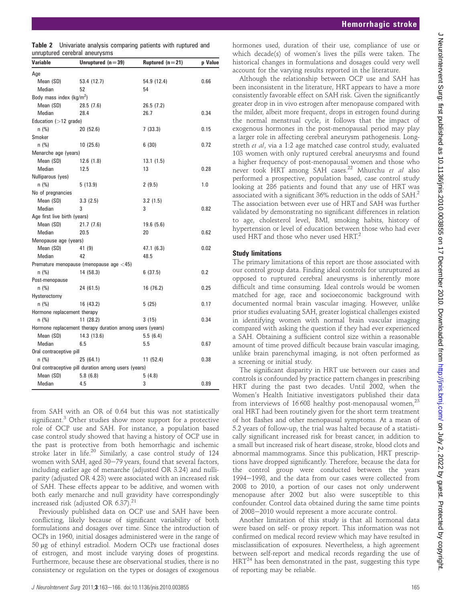Mean (SD) 28.5 (7.6) 26.5 (7.2)

Median 52 54

unruptured cerebral aneurysms

Body mass index (kg/m<sup>2</sup>)

Education  $(512 \text{ grade})$ 

Age

Table 2 Univariate analysis comparing patients with ruptured and

Variable **Unruptured (n**=39) Ruptured (n=21) p Value

Mean (SD) 53.4 (12.7) 54.9 (12.4) 0.66

Median 28.4 26.7 0.34

| $\text{Equation} \geq 1 - \text{equation}$               |                                            |            |      |  |  |  |
|----------------------------------------------------------|--------------------------------------------|------------|------|--|--|--|
| n(%)                                                     | 20(52.6)                                   | 7(33.3)    | 0.15 |  |  |  |
| Smoker                                                   |                                            |            |      |  |  |  |
| n(%)                                                     | 10(25.6)                                   | 6(30)      | 0.72 |  |  |  |
| Menarche age (years)                                     |                                            |            |      |  |  |  |
| Mean (SD)                                                | 12.6(1.8)                                  | 13.1(1.5)  |      |  |  |  |
| Median                                                   | 12.5                                       | 13         | 0.28 |  |  |  |
| Nulliparous (yes)                                        |                                            |            |      |  |  |  |
| n(%)                                                     | 5(13.9)                                    | 2(9.5)     | 1.0  |  |  |  |
| No of pregnancies                                        |                                            |            |      |  |  |  |
| Mean (SD)                                                | 3.3(2.5)                                   | 3.2(1.5)   |      |  |  |  |
| Median                                                   | 3                                          | 3          | 0.82 |  |  |  |
| Age first live birth (years)                             |                                            |            |      |  |  |  |
| Mean (SD)                                                | 21.7(7.6)                                  | 19.6(5.6)  |      |  |  |  |
| Median                                                   | 20.5                                       | 20         | 0.62 |  |  |  |
| Menopause age (years)                                    |                                            |            |      |  |  |  |
| Mean (SD)                                                | 41(9)                                      | 47.1 (6.3) | 0.02 |  |  |  |
| Median                                                   | 42                                         | 48.5       |      |  |  |  |
|                                                          | Premature menopause (menopause age $<$ 45) |            |      |  |  |  |
| n(%)                                                     | 14 (58.3)                                  | 6(37.5)    | 0.2  |  |  |  |
| Post-menopause                                           |                                            |            |      |  |  |  |
| n(%)                                                     | 24 (61.5)                                  | 16 (76.2)  | 0.25 |  |  |  |
| Hysterectomy                                             |                                            |            |      |  |  |  |
| n(%)                                                     | 16 (43.2)                                  | 5(25)      | 0.17 |  |  |  |
| Hormone replacement therapy                              |                                            |            |      |  |  |  |
| $n$ (%)                                                  | 11(28.2)                                   | 3(15)      | 0.34 |  |  |  |
| Hormone replacement therapy duration among users (years) |                                            |            |      |  |  |  |
| Mean (SD)                                                | 14.3 (13.6)                                | 5.5(6.4)   |      |  |  |  |
| Median                                                   | 6.5                                        | 5.5        | 0.67 |  |  |  |
| Oral contraceptive pill                                  |                                            |            |      |  |  |  |
| n(%)                                                     | 25(64.1)                                   | 11(52.4)   | 0.38 |  |  |  |
| Oral contraceptive pill duration among users (years)     |                                            |            |      |  |  |  |
| Mean (SD)                                                | 5.8(6.8)                                   | 5(4.8)     |      |  |  |  |
| Median                                                   | 4.5                                        | 3          | 0.89 |  |  |  |
|                                                          |                                            |            |      |  |  |  |

from SAH with an OR of 0.64 but this was not statistically significant.<sup>3</sup> Other studies show more support for a protective role of OCP use and SAH. For instance, a population based case control study showed that having a history of OCP use in the past is protective from both hemorrhagic and ischemic stroke later in life.20 Similarly, a case control study of 124 women with SAH, aged 30-79 years, found that several factors, including earlier age of menarche (adjusted OR 3.24) and nulliparity (adjusted OR 4.23) were associated with an increased risk of SAH. These effects appear to be additive, and women with both early menarche and null gravidity have correspondingly increased risk (adjusted OR  $6.37$ ).<sup>21</sup>

Previously published data on OCP use and SAH have been conflicting, likely because of significant variability of both formulations and dosages over time. Since the introduction of OCPs in 1960, initial dosages administered were in the range of 50 mg of ethinyl estradiol. Modern OCPs use fractional doses of estrogen, and most include varying doses of progestins. Furthermore, because these are observational studies, there is no consistency or regulation on the types or dosages of exogenous

hormones used, duration of their use, compliance of use or which decade(s) of women's lives the pills were taken. The historical changes in formulations and dosages could very well account for the varying results reported in the literature.

Although the relationship between OCP use and SAH has been inconsistent in the literature, HRT appears to have a more consistently favorable effect on SAH risk. Given the significantly greater drop in in vivo estrogen after menopause compared with the milder, albeit more frequent, drops in estrogen found during the normal menstrual cycle, it follows that the impact of exogenous hormones in the post-menopausal period may play a larger role in affecting cerebral aneurysm pathogenesis. Longstreth et al, via a 1:2 age matched case control study, evaluated 103 women with only ruptured cerebral aneurysms and found a higher frequency of post-menopausal women and those who never took HRT among SAH cases.<sup>22</sup> Mhurchu et al also performed a prospective, population based, case control study looking at 286 patients and found that any use of HRT was associated with a significant 36% reduction in the odds of SAH.2 The association between ever use of HRT and SAH was further validated by demonstrating no significant differences in relation to age, cholesterol level, BMI, smoking habits, history of hypertension or level of education between those who had ever used HRT and those who never used  $HRT<sup>2</sup>$ 

### Study limitations

The primary limitations of this report are those associated with our control group data. Finding ideal controls for unruptured as opposed to ruptured cerebral aneurysms is inherently more difficult and time consuming. Ideal controls would be women matched for age, race and socioeconomic background with documented normal brain vascular imaging. However, unlike prior studies evaluating SAH, greater logistical challenges existed in identifying women with normal brain vascular imaging compared with asking the question if they had ever experienced a SAH. Obtaining a sufficient control size within a reasonable amount of time proved difficult because brain vascular imaging, unlike brain parenchymal imaging, is not often performed as a screening or initial study.

The significant disparity in HRT use between our cases and controls is confounded by practice pattern changes in prescribing HRT during the past two decades. Until 2002, when the Women's Health Initiative investigators published their data from interviews of  $16608$  healthy post-menopausal women,<sup>23</sup> oral HRT had been routinely given for the short term treatment of hot flashes and other menopausal symptoms. At a mean of 5.2 years of follow-up, the trial was halted because of a statistically significant increased risk for breast cancer, in addition to a small but increased risk of heart disease, stroke, blood clots and abnormal mammograms. Since this publication, HRT prescriptions have dropped significantly. Therefore, because the data for the control group were conducted between the years 1994-1998, and the data from our cases were collected from 2008 to 2010, a portion of our cases not only underwent menopause after 2002 but also were susceptible to this confounder. Control data obtained during the same time points of 2008-2010 would represent a more accurate control.

Another limitation of this study is that all hormonal data were based on self- or proxy report. This information was not confirmed on medical record review which may have resulted in misclassification of exposures. Nevertheless, a high agreement between self-report and medical records regarding the use of  $HRT^{24}$  has been demonstrated in the past, suggesting this type of reporting may be reliable.